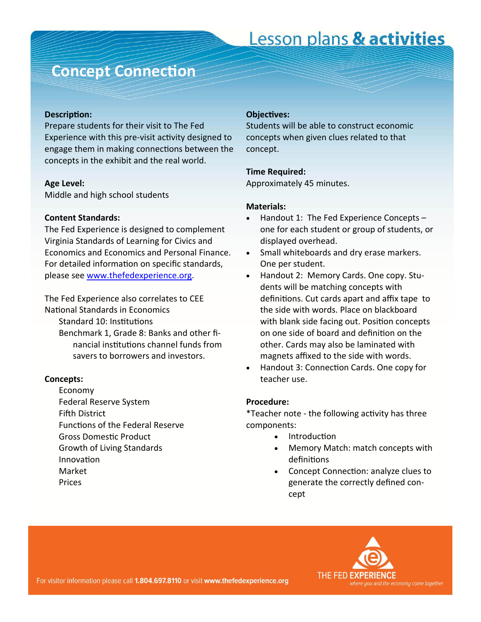### **Concept Connection**

#### **Description:**

Prepare students for their visit to The Fed Experience with this pre-visit activity designed to engage them in making connections between the concepts in the exhibit and the real world.

#### **Age Level:**

Middle and high school students

#### **Content Standards:**

The Fed Experience is designed to complement Virginia Standards of Learning for Civics and Economics and Economics and Personal Finance. For detailed information on specific standards, please see [www.thefedexperience.org.](http://thefedexperience.org/education/TFE%20SOLs.pdf)

The Fed Experience also correlates to CEE National Standards in Economics Standard 10: Institutions Benchmark 1, Grade 8: Banks and other fi‐ nancial institutions channel funds from

savers to borrowers and investors.

#### **Concepts:**

Economy Federal Reserve System Fifth District Functions of the Federal Reserve Gross Domestic Product Growth of Living Standards **Innovation** Market Prices

#### **ObjecƟves:**

Students will be able to construct economic concepts when given clues related to that concept.

#### **Time Required:**

Approximately 45 minutes.

#### **Materials:**

- Handout 1: The Fed Experience Concepts one for each student or group of students, or displayed overhead.
- Small whiteboards and dry erase markers. One per student.
- Handout 2: Memory Cards. One copy. Students will be matching concepts with definitions. Cut cards apart and affix tape to the side with words. Place on blackboard with blank side facing out. Position concepts on one side of board and definition on the other. Cards may also be laminated with magnets affixed to the side with words.
- Handout 3: Connection Cards. One copy for teacher use.

#### **Procedure:**

\*Teacher note - the following activity has three components:

- **Introduction** 
	- Memory Match: match concepts with definitions
	- Concept Connection: analyze clues to generate the correctly defined con‐ cept

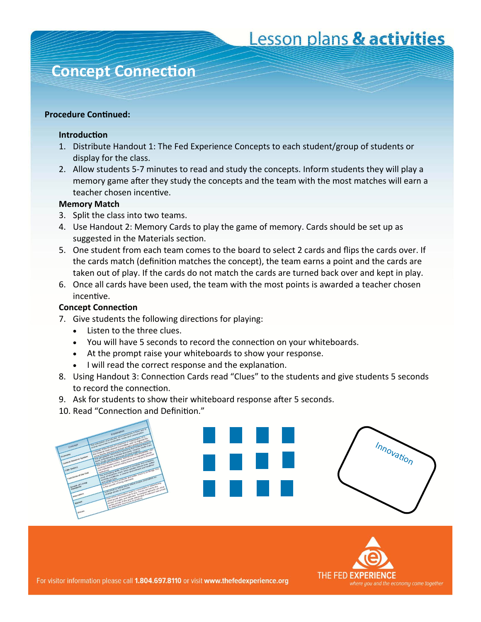### **Concept ConnecƟon**

### **Procedure Continued:**

### **IntroducƟon**

- 1. Distribute Handout 1: The Fed Experience Concepts to each student/group of students or display for the class.
- 2. Allow students 5‐7 minutes to read and study the concepts. Inform students they will play a memory game after they study the concepts and the team with the most matches will earn a teacher chosen incentive.

### **Memory Match**

- 3. Split the class into two teams.
- 4. Use Handout 2: Memory Cards to play the game of memory. Cards should be set up as suggested in the Materials section.
- 5. One student from each team comes to the board to select 2 cards and flips the cards over. If the cards match (definition matches the concept), the team earns a point and the cards are taken out of play. If the cards do not match the cards are turned back over and kept in play.
- 6. Once all cards have been used, the team with the most points is awarded a teacher chosen incenƟve.

### **Concept ConnecƟon**

- 7. Give students the following directions for playing:
	- Listen to the three clues.
	- You will have 5 seconds to record the connection on your whiteboards.
	- At the prompt raise your whiteboards to show your response.
	- I will read the correct response and the explanation.
- 8. Using Handout 3: Connection Cards read "Clues" to the students and give students 5 seconds to record the connection.
- 9. Ask for students to show their whiteboard response after 5 seconds.
- 10. Read "Connection and Definition."



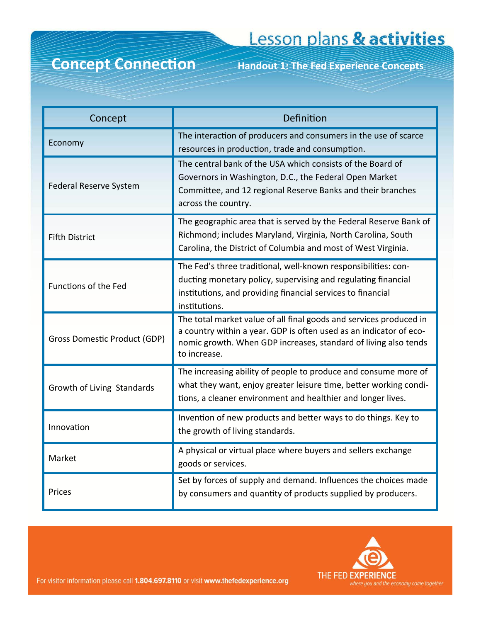## **Concept Connection** Handout 1: The Fed Experience Concepts

| Concept                             | Definition                                                                                                                                                                                                                  |
|-------------------------------------|-----------------------------------------------------------------------------------------------------------------------------------------------------------------------------------------------------------------------------|
| Economy                             | The interaction of producers and consumers in the use of scarce<br>resources in production, trade and consumption.                                                                                                          |
| Federal Reserve System              | The central bank of the USA which consists of the Board of<br>Governors in Washington, D.C., the Federal Open Market<br>Committee, and 12 regional Reserve Banks and their branches<br>across the country.                  |
| <b>Fifth District</b>               | The geographic area that is served by the Federal Reserve Bank of<br>Richmond; includes Maryland, Virginia, North Carolina, South<br>Carolina, the District of Columbia and most of West Virginia.                          |
| Functions of the Fed                | The Fed's three traditional, well-known responsibilities: con-<br>ducting monetary policy, supervising and regulating financial<br>institutions, and providing financial services to financial<br>institutions.             |
| <b>Gross Domestic Product (GDP)</b> | The total market value of all final goods and services produced in<br>a country within a year. GDP is often used as an indicator of eco-<br>nomic growth. When GDP increases, standard of living also tends<br>to increase. |
| Growth of Living Standards          | The increasing ability of people to produce and consume more of<br>what they want, enjoy greater leisure time, better working condi-<br>tions, a cleaner environment and healthier and longer lives.                        |
| Innovation                          | Invention of new products and better ways to do things. Key to<br>the growth of living standards.                                                                                                                           |
| Market                              | A physical or virtual place where buyers and sellers exchange<br>goods or services.                                                                                                                                         |
| Prices                              | Set by forces of supply and demand. Influences the choices made<br>by consumers and quantity of products supplied by producers.                                                                                             |

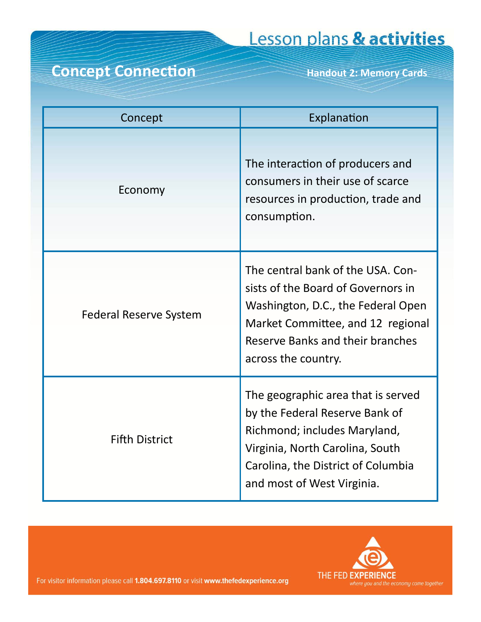### Concept Connection Handout 2: Memory Cards

| Concept                       | Explanation                                                                                                                                                                                                   |
|-------------------------------|---------------------------------------------------------------------------------------------------------------------------------------------------------------------------------------------------------------|
| Economy                       | The interaction of producers and<br>consumers in their use of scarce<br>resources in production, trade and<br>consumption.                                                                                    |
| <b>Federal Reserve System</b> | The central bank of the USA. Con-<br>sists of the Board of Governors in<br>Washington, D.C., the Federal Open<br>Market Committee, and 12 regional<br>Reserve Banks and their branches<br>across the country. |
| <b>Fifth District</b>         | The geographic area that is served<br>by the Federal Reserve Bank of<br>Richmond; includes Maryland,<br>Virginia, North Carolina, South<br>Carolina, the District of Columbia<br>and most of West Virginia.   |

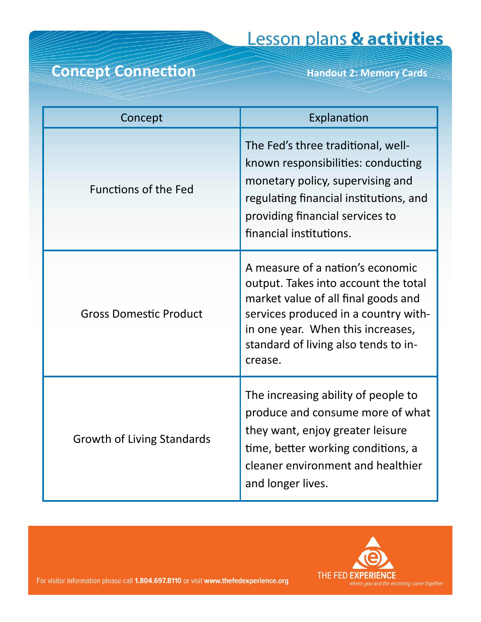## Concept Connection Handout 2: Memory Cards

| Concept                           | Explanation                                                                                                                                                                                                                                     |
|-----------------------------------|-------------------------------------------------------------------------------------------------------------------------------------------------------------------------------------------------------------------------------------------------|
| <b>Functions of the Fed</b>       | The Fed's three traditional, well-<br>known responsibilities: conducting<br>monetary policy, supervising and<br>regulating financial institutions, and<br>providing financial services to<br>financial institutions.                            |
| <b>Gross Domestic Product</b>     | A measure of a nation's economic<br>output. Takes into account the total<br>market value of all final goods and<br>services produced in a country with-<br>in one year. When this increases,<br>standard of living also tends to in-<br>crease. |
| <b>Growth of Living Standards</b> | The increasing ability of people to<br>produce and consume more of what<br>they want, enjoy greater leisure<br>time, better working conditions, a<br>cleaner environment and healthier<br>and longer lives.                                     |

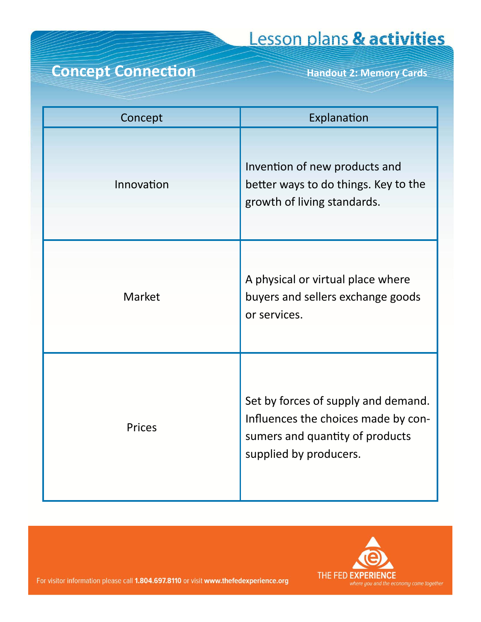### Concept Connection Handout 2: Memory Cards

| Concept       | Explanation                                                                                                                             |
|---------------|-----------------------------------------------------------------------------------------------------------------------------------------|
| Innovation    | Invention of new products and<br>better ways to do things. Key to the<br>growth of living standards.                                    |
| Market        | A physical or virtual place where<br>buyers and sellers exchange goods<br>or services.                                                  |
| <b>Prices</b> | Set by forces of supply and demand.<br>Influences the choices made by con-<br>sumers and quantity of products<br>supplied by producers. |

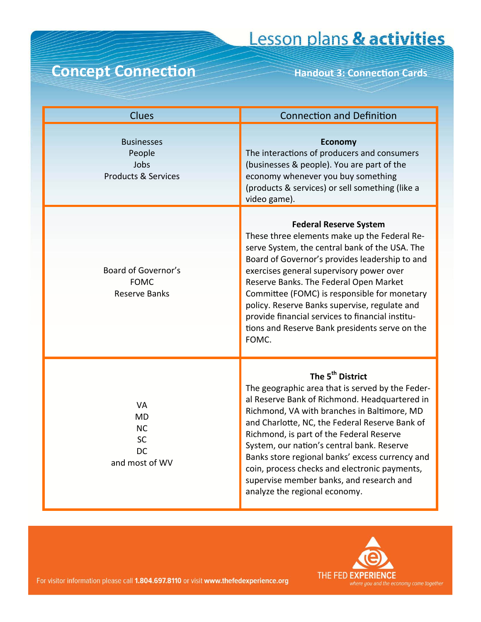### Concept Connection Handout 3: Connection Cards

| <b>Clues</b>                                                             | <b>Connection and Definition</b>                                                                                                                                                                                                                                                                                                                                                                                                                                                                              |
|--------------------------------------------------------------------------|---------------------------------------------------------------------------------------------------------------------------------------------------------------------------------------------------------------------------------------------------------------------------------------------------------------------------------------------------------------------------------------------------------------------------------------------------------------------------------------------------------------|
| <b>Businesses</b><br>People<br>Jobs<br><b>Products &amp; Services</b>    | <b>Economy</b><br>The interactions of producers and consumers<br>(businesses & people). You are part of the<br>economy whenever you buy something<br>(products & services) or sell something (like a<br>video game).                                                                                                                                                                                                                                                                                          |
| Board of Governor's<br><b>FOMC</b><br><b>Reserve Banks</b>               | <b>Federal Reserve System</b><br>These three elements make up the Federal Re-<br>serve System, the central bank of the USA. The<br>Board of Governor's provides leadership to and<br>exercises general supervisory power over<br>Reserve Banks. The Federal Open Market<br>Committee (FOMC) is responsible for monetary<br>policy. Reserve Banks supervise, regulate and<br>provide financial services to financial institu-<br>tions and Reserve Bank presidents serve on the<br>FOMC.                       |
| <b>VA</b><br><b>MD</b><br><b>NC</b><br>SC<br><b>DC</b><br>and most of WV | The 5 <sup>th</sup> District<br>The geographic area that is served by the Feder-<br>al Reserve Bank of Richmond. Headquartered in<br>Richmond, VA with branches in Baltimore, MD<br>and Charlotte, NC, the Federal Reserve Bank of<br>Richmond, is part of the Federal Reserve<br>System, our nation's central bank. Reserve<br>Banks store regional banks' excess currency and<br>coin, process checks and electronic payments,<br>supervise member banks, and research and<br>analyze the regional economy. |

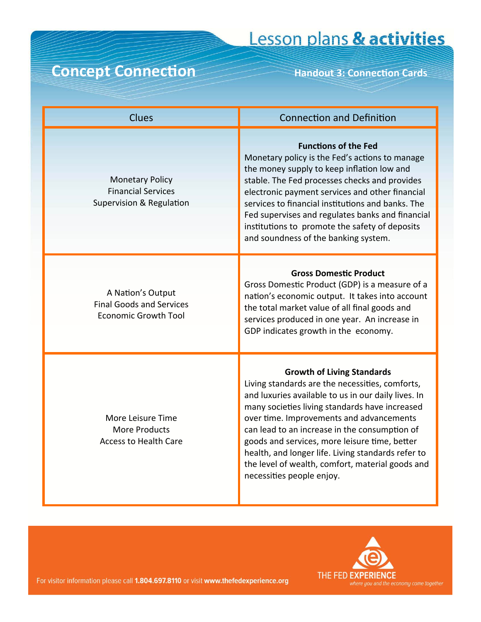### Concept Connection Handout 3: Connection Cards

| <b>Clues</b>                                                                        | <b>Connection and Definition</b>                                                                                                                                                                                                                                                                                                                                                                                                                                                   |
|-------------------------------------------------------------------------------------|------------------------------------------------------------------------------------------------------------------------------------------------------------------------------------------------------------------------------------------------------------------------------------------------------------------------------------------------------------------------------------------------------------------------------------------------------------------------------------|
| <b>Monetary Policy</b><br><b>Financial Services</b><br>Supervision & Regulation     | <b>Functions of the Fed</b><br>Monetary policy is the Fed's actions to manage<br>the money supply to keep inflation low and<br>stable. The Fed processes checks and provides<br>electronic payment services and other financial<br>services to financial institutions and banks. The<br>Fed supervises and regulates banks and financial<br>institutions to promote the safety of deposits<br>and soundness of the banking system.                                                 |
| A Nation's Output<br><b>Final Goods and Services</b><br><b>Economic Growth Tool</b> | <b>Gross Domestic Product</b><br>Gross Domestic Product (GDP) is a measure of a<br>nation's economic output. It takes into account<br>the total market value of all final goods and<br>services produced in one year. An increase in<br>GDP indicates growth in the economy.                                                                                                                                                                                                       |
| More Leisure Time<br>More Products<br><b>Access to Health Care</b>                  | <b>Growth of Living Standards</b><br>Living standards are the necessities, comforts,<br>and luxuries available to us in our daily lives. In<br>many societies living standards have increased<br>over time. Improvements and advancements<br>can lead to an increase in the consumption of<br>goods and services, more leisure time, better<br>health, and longer life. Living standards refer to<br>the level of wealth, comfort, material goods and<br>necessities people enjoy. |